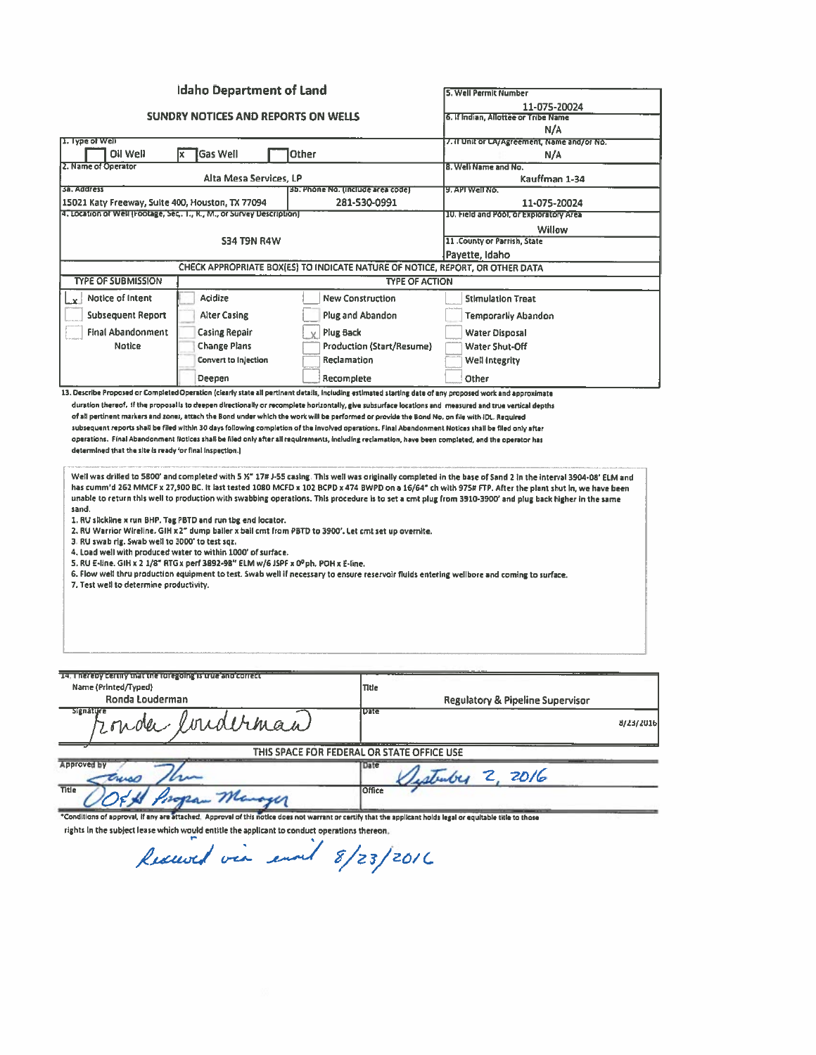|                                                                                                                            | <b>Idaho Department of Land</b>                                                                                                                                                                                                                                                                                              |                                   |                                            |                                                                                                                                                                                                                                                                                                                                                                                                                                                              |  |
|----------------------------------------------------------------------------------------------------------------------------|------------------------------------------------------------------------------------------------------------------------------------------------------------------------------------------------------------------------------------------------------------------------------------------------------------------------------|-----------------------------------|--------------------------------------------|--------------------------------------------------------------------------------------------------------------------------------------------------------------------------------------------------------------------------------------------------------------------------------------------------------------------------------------------------------------------------------------------------------------------------------------------------------------|--|
|                                                                                                                            |                                                                                                                                                                                                                                                                                                                              |                                   |                                            | 5. Well Permit Number                                                                                                                                                                                                                                                                                                                                                                                                                                        |  |
| SUNDRY NOTICES AND REPORTS ON WELLS                                                                                        |                                                                                                                                                                                                                                                                                                                              |                                   |                                            | 11-075-20024<br>6. If Indian, Allottee or Tribe Name                                                                                                                                                                                                                                                                                                                                                                                                         |  |
|                                                                                                                            |                                                                                                                                                                                                                                                                                                                              |                                   |                                            | N/A                                                                                                                                                                                                                                                                                                                                                                                                                                                          |  |
| 1. Type of Well                                                                                                            |                                                                                                                                                                                                                                                                                                                              |                                   |                                            | 7. If Unit or LA/Agreement, Name and/or No.                                                                                                                                                                                                                                                                                                                                                                                                                  |  |
| Oil Well                                                                                                                   | <b>Gas Well</b><br>x                                                                                                                                                                                                                                                                                                         | Other                             |                                            | N/A                                                                                                                                                                                                                                                                                                                                                                                                                                                          |  |
| 2. Name of Operator                                                                                                        |                                                                                                                                                                                                                                                                                                                              | 8. Well Name and No.              |                                            |                                                                                                                                                                                                                                                                                                                                                                                                                                                              |  |
| <b>3a. Address</b>                                                                                                         | Alta Mesa Services, LP                                                                                                                                                                                                                                                                                                       |                                   |                                            | Kauffman 1-34<br>9. API Well No.                                                                                                                                                                                                                                                                                                                                                                                                                             |  |
|                                                                                                                            |                                                                                                                                                                                                                                                                                                                              | 3b. Phòne No. (include area code) | 281-530-0991                               | 11-075-20024                                                                                                                                                                                                                                                                                                                                                                                                                                                 |  |
| 15021 Katy Freeway, Suite 400, Houston, TX 77094<br>4. Location of Well (Footage, Sec., T., R., M., or Survey Description) |                                                                                                                                                                                                                                                                                                                              |                                   |                                            | 10. Field and Pool, or Exploratory Area                                                                                                                                                                                                                                                                                                                                                                                                                      |  |
|                                                                                                                            |                                                                                                                                                                                                                                                                                                                              |                                   |                                            | Willow                                                                                                                                                                                                                                                                                                                                                                                                                                                       |  |
|                                                                                                                            | <b>S34 T9N R4W</b>                                                                                                                                                                                                                                                                                                           | 11 .County or Parrish, State      |                                            |                                                                                                                                                                                                                                                                                                                                                                                                                                                              |  |
|                                                                                                                            |                                                                                                                                                                                                                                                                                                                              | Payette, Idaho                    |                                            |                                                                                                                                                                                                                                                                                                                                                                                                                                                              |  |
|                                                                                                                            | CHECK APPROPRIATE BOX(ES) TO INDICATE NATURE OF NOTICE, REPORT, OR OTHER DATA                                                                                                                                                                                                                                                |                                   |                                            |                                                                                                                                                                                                                                                                                                                                                                                                                                                              |  |
| <b>TYPE OF SUBMISSION</b>                                                                                                  |                                                                                                                                                                                                                                                                                                                              |                                   | <b>TYPE OF ACTION</b>                      |                                                                                                                                                                                                                                                                                                                                                                                                                                                              |  |
| Notice of Intent                                                                                                           | Acidize                                                                                                                                                                                                                                                                                                                      |                                   | <b>New Construction</b>                    | <b>Stimulation Treat</b>                                                                                                                                                                                                                                                                                                                                                                                                                                     |  |
|                                                                                                                            |                                                                                                                                                                                                                                                                                                                              |                                   |                                            |                                                                                                                                                                                                                                                                                                                                                                                                                                                              |  |
| <b>Subsequent Report</b>                                                                                                   | <b>Alter Casing</b>                                                                                                                                                                                                                                                                                                          |                                   | <b>Plug and Abandon</b>                    | <b>Temporarily Abandon</b>                                                                                                                                                                                                                                                                                                                                                                                                                                   |  |
| <b>Final Abandonment</b>                                                                                                   | <b>Casing Repair</b>                                                                                                                                                                                                                                                                                                         | <b>Plug Back</b>                  |                                            | <b>Water Disposal</b>                                                                                                                                                                                                                                                                                                                                                                                                                                        |  |
| <b>Notice</b>                                                                                                              | <b>Change Plans</b>                                                                                                                                                                                                                                                                                                          |                                   | Production (Start/Resume)                  | Water Shut-Off                                                                                                                                                                                                                                                                                                                                                                                                                                               |  |
|                                                                                                                            | <b>Convert to Injection</b>                                                                                                                                                                                                                                                                                                  | Reclamation                       |                                            | Well integrity                                                                                                                                                                                                                                                                                                                                                                                                                                               |  |
|                                                                                                                            | Deepen                                                                                                                                                                                                                                                                                                                       | Recomplete                        |                                            | Other                                                                                                                                                                                                                                                                                                                                                                                                                                                        |  |
|                                                                                                                            |                                                                                                                                                                                                                                                                                                                              |                                   |                                            | 13. Describe Proposed or Completed Operation (clearly state all pertinent details, including estimated starting date of any proposed work and approximate                                                                                                                                                                                                                                                                                                    |  |
| sand.<br>3. RU swab rig. Swab well to 3000' to test sqz.<br>7. Test well to determine productivity.                        | 1. RU slickline x run BHP. Tag PBTD and run tbg end locator.<br>2. RU Warrior Wireline. GIH x 2" dump baller x ball crnt from PBTD to 3900'. Let crnt set up overnite.<br>4. Load well with produced water to within 1000' of surface.<br>5. RU E-line. GIH x 2 1/8" RTG x perf 3892-98" ELM w/6 JSPF x 0º ph. POH x E-line. |                                   |                                            | has cumm'd 262 MMCF x 27,900 BC. It last tested 1080 MCFD x 102 BCPD x 474 BWPD on a 16/64" ch with 975# FTP. After the plant shut in, we have been<br>unable to return this well to production with swabbing operations. This procedure is to set a cmt plug from 3910-3900' and plug back higher in the same<br>6. Flow well thru production equipment to test. Swab well if necessary to ensure reservoir fluids entering wellbore and coming to surface. |  |
| 14. Thereby certify that the foregoing is true and correct                                                                 |                                                                                                                                                                                                                                                                                                                              |                                   |                                            |                                                                                                                                                                                                                                                                                                                                                                                                                                                              |  |
| Name (Printed/Typed)                                                                                                       |                                                                                                                                                                                                                                                                                                                              |                                   | Title                                      |                                                                                                                                                                                                                                                                                                                                                                                                                                                              |  |
| Ronda Louderman<br><b>Signature</b>                                                                                        |                                                                                                                                                                                                                                                                                                                              |                                   | Dita                                       | <b>Regulatory &amp; Pipeline Supervisor</b>                                                                                                                                                                                                                                                                                                                                                                                                                  |  |
|                                                                                                                            | lorderman                                                                                                                                                                                                                                                                                                                    |                                   |                                            | 8/23/2016                                                                                                                                                                                                                                                                                                                                                                                                                                                    |  |
|                                                                                                                            |                                                                                                                                                                                                                                                                                                                              |                                   | THIS SPACE FOR FEDERAL OR STATE OFFICE USE |                                                                                                                                                                                                                                                                                                                                                                                                                                                              |  |
| Approved by                                                                                                                |                                                                                                                                                                                                                                                                                                                              |                                   | Date                                       |                                                                                                                                                                                                                                                                                                                                                                                                                                                              |  |
|                                                                                                                            |                                                                                                                                                                                                                                                                                                                              |                                   |                                            | Listriber 2, 2016                                                                                                                                                                                                                                                                                                                                                                                                                                            |  |
| <b>Title</b>                                                                                                               | an Manager                                                                                                                                                                                                                                                                                                                   |                                   | Office                                     |                                                                                                                                                                                                                                                                                                                                                                                                                                                              |  |
|                                                                                                                            |                                                                                                                                                                                                                                                                                                                              |                                   |                                            | *Conditions of approval, if any are attached. Approval of this notice does not warrant or certify that the applicant holds legal or equitable title to those                                                                                                                                                                                                                                                                                                 |  |

rights in the subject lease which would entitle the applicant to conduct operations thereon.<br>Rescend vea enough 8/23/2016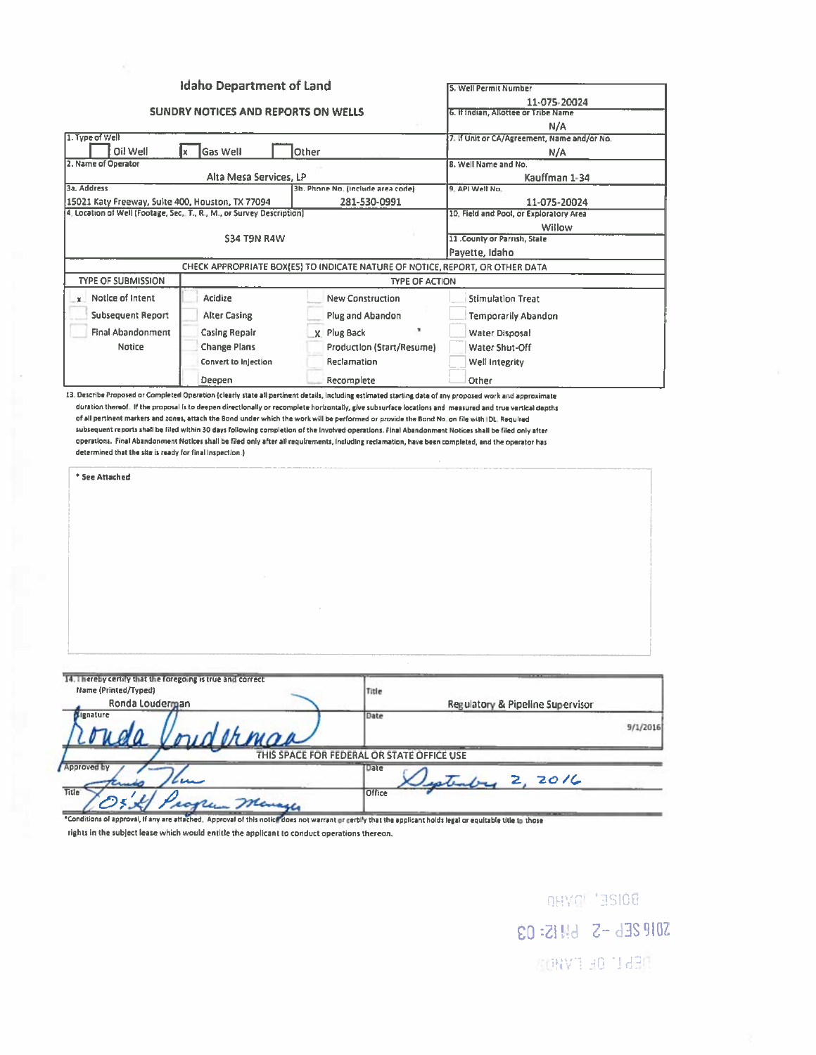|                                                                                                                   | <b>Idaho Department of Land</b>            | 5. Well Permit Number                                                         |                                             |          |
|-------------------------------------------------------------------------------------------------------------------|--------------------------------------------|-------------------------------------------------------------------------------|---------------------------------------------|----------|
|                                                                                                                   | <b>SUNDRY NOTICES AND REPORTS ON WELLS</b> | 11-075-20024<br>6. If Indian, Allottee or Tribe Name                          |                                             |          |
|                                                                                                                   |                                            |                                                                               | N/A                                         |          |
| 1. Type of Well                                                                                                   |                                            |                                                                               | 7. If Unit or CA/Agreement, Name and/or No. |          |
| Oil Well<br><b>Gas Well</b><br>Other<br>x                                                                         |                                            |                                                                               | N/A                                         |          |
| 2. Name of Operator                                                                                               |                                            |                                                                               | 8. Well Name and No.                        |          |
|                                                                                                                   | Alta Mesa Services, LP                     |                                                                               | Kauffman 1-34                               |          |
| 3a, Address                                                                                                       |                                            | 9. API Well No.                                                               |                                             |          |
| 15021 Katy Freeway, Sulte 400, Houston, TX 77094                                                                  |                                            | 11-075-20024                                                                  |                                             |          |
| 4. Location of Well (Footage, Sec, T., R., M., or Survey Description)                                             |                                            | 10. Field and Pool, or Exploratory Area                                       |                                             |          |
|                                                                                                                   | <b>S34 T9N R4W</b>                         | Willow                                                                        |                                             |          |
|                                                                                                                   |                                            |                                                                               | 11 .County or Parrish, State                |          |
|                                                                                                                   |                                            |                                                                               | Payette, Idaho                              |          |
|                                                                                                                   |                                            | CHECK APPROPRIATE BOX(ES) TO INDICATE NATURE OF NOTICE, REPORT, OR OTHER DATA |                                             |          |
| <b>TYPE OF SUBMISSION</b>                                                                                         |                                            | <b>TYPE OF ACTION</b>                                                         |                                             |          |
| $x$ Notice of Intent                                                                                              | Acidize                                    | <b>New Construction</b>                                                       | <b>Stimulation Treat</b>                    |          |
| <b>Subsequent Report</b>                                                                                          | <b>Alter Casing</b>                        | Plug and Abandon                                                              | <b>Temporarily Abandon</b>                  |          |
| <b>Final Abandonment</b>                                                                                          |                                            |                                                                               |                                             |          |
|                                                                                                                   | <b>Casing Repair</b>                       | X. Plug Back                                                                  | <b>Water Disposal</b>                       |          |
| Notice                                                                                                            | <b>Change Plans</b>                        | Production (Start/Resume)                                                     | Water Shut-Off                              |          |
|                                                                                                                   | Convert to Injection                       | Reclamation                                                                   | Well Integrity                              |          |
|                                                                                                                   | Deepen                                     | Recomplete                                                                    | Other                                       |          |
|                                                                                                                   |                                            |                                                                               |                                             |          |
|                                                                                                                   |                                            |                                                                               |                                             |          |
| 14. Thereby certify that the foregoing is true and correct<br>Name (Printed/Typed)<br>Ronda Louderman<br>ignature | derman                                     | Title<br>Date                                                                 | Regulatory & Pipeline Supervisor            |          |
| <b>Approved by</b>                                                                                                |                                            | THIS SPACE FOR FEDERAL OR STATE OFFICE USE<br>Date                            |                                             |          |
|                                                                                                                   |                                            |                                                                               | stenby 2, 2016                              | 9/1/2016 |

rights in the subject lease which would entitle the applicant to conduct operations thereon.

BOIZE<sup>T</sup> Invito SON 2E6-5 6M IS: 03 **RENCH OR FYHOR**